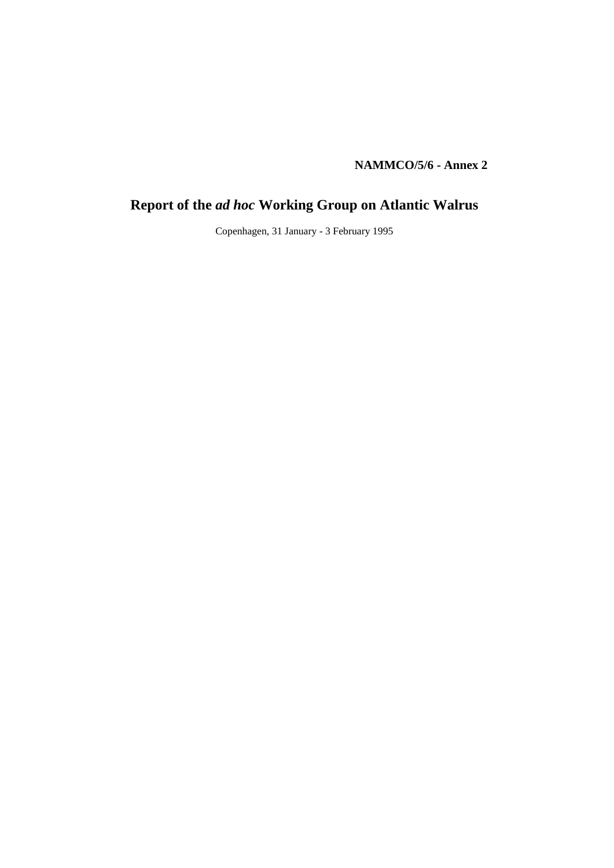**NAMMCO/5/6 - Annex 2**

# **Report of the** *ad hoc* **Working Group on Atlantic Walrus**

Copenhagen, 31 January - 3 February 1995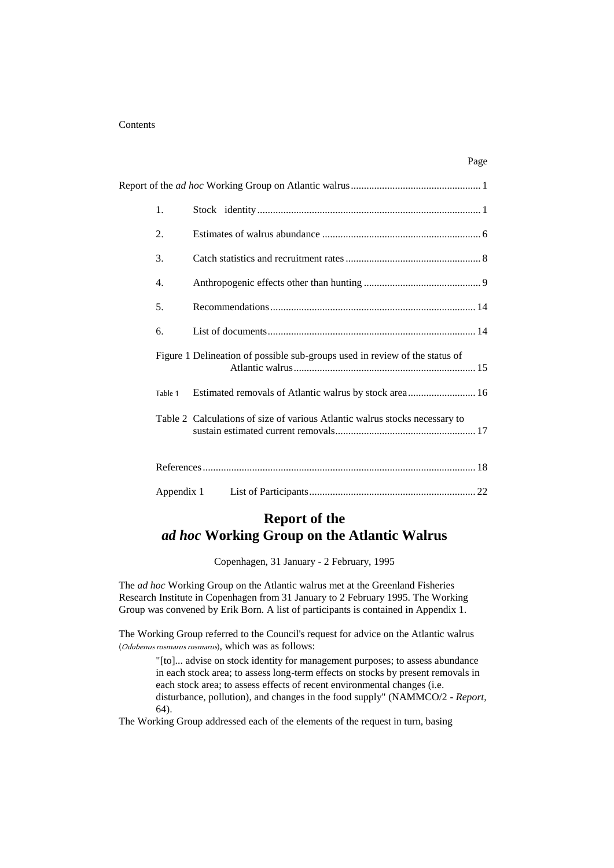#### **Contents**

| 1.         |                                                                             |
|------------|-----------------------------------------------------------------------------|
| 2.         |                                                                             |
| 3.         |                                                                             |
| 4.         |                                                                             |
| 5.         |                                                                             |
| 6.         |                                                                             |
|            | Figure 1 Delineation of possible sub-groups used in review of the status of |
| Table 1    | Estimated removals of Atlantic walrus by stock area 16                      |
|            | Table 2 Calculations of size of various Atlantic walrus stocks necessary to |
|            |                                                                             |
| Appendix 1 |                                                                             |

Page

# **Report of the**

## *ad hoc* **Working Group on the Atlantic Walrus**

Copenhagen, 31 January - 2 February, 1995

The *ad hoc* Working Group on the Atlantic walrus met at the Greenland Fisheries Research Institute in Copenhagen from 31 January to 2 February 1995. The Working Group was convened by Erik Born. A list of participants is contained in Appendix 1.

The Working Group referred to the Council's request for advice on the Atlantic walrus (Odobenus rosmarus rosmarus), which was as follows:

> "[to]... advise on stock identity for management purposes; to assess abundance in each stock area; to assess long-term effects on stocks by present removals in each stock area; to assess effects of recent environmental changes (i.e. disturbance, pollution), and changes in the food supply" (NAMMCO/2 - *Report,* 64).

The Working Group addressed each of the elements of the request in turn, basing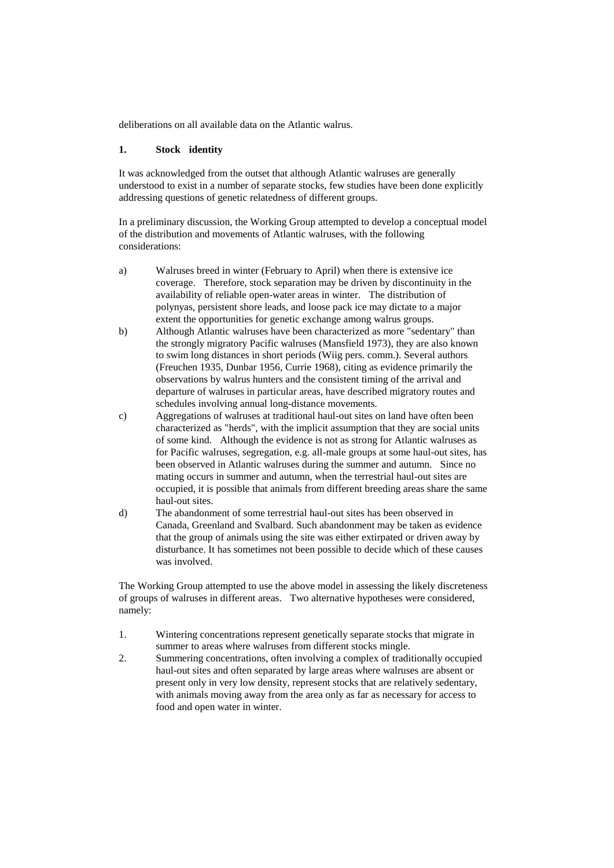deliberations on all available data on the Atlantic walrus.

#### **1. Stock identity**

It was acknowledged from the outset that although Atlantic walruses are generally understood to exist in a number of separate stocks, few studies have been done explicitly addressing questions of genetic relatedness of different groups.

In a preliminary discussion, the Working Group attempted to develop a conceptual model of the distribution and movements of Atlantic walruses, with the following considerations:

- a) Walruses breed in winter (February to April) when there is extensive ice coverage. Therefore, stock separation may be driven by discontinuity in the availability of reliable open-water areas in winter. The distribution of polynyas, persistent shore leads, and loose pack ice may dictate to a major extent the opportunities for genetic exchange among walrus groups.
- b) Although Atlantic walruses have been characterized as more "sedentary" than the strongly migratory Pacific walruses (Mansfield 1973), they are also known to swim long distances in short periods (Wiig pers. comm.). Several authors (Freuchen 1935, Dunbar 1956, Currie 1968), citing as evidence primarily the observations by walrus hunters and the consistent timing of the arrival and departure of walruses in particular areas, have described migratory routes and schedules involving annual long-distance movements.
- c) Aggregations of walruses at traditional haul-out sites on land have often been characterized as "herds", with the implicit assumption that they are social units of some kind. Although the evidence is not as strong for Atlantic walruses as for Pacific walruses, segregation, e.g. all-male groups at some haul-out sites, has been observed in Atlantic walruses during the summer and autumn. Since no mating occurs in summer and autumn, when the terrestrial haul-out sites are occupied, it is possible that animals from different breeding areas share the same haul-out sites.
- d) The abandonment of some terrestrial haul-out sites has been observed in Canada, Greenland and Svalbard. Such abandonment may be taken as evidence that the group of animals using the site was either extirpated or driven away by disturbance. It has sometimes not been possible to decide which of these causes was involved.

The Working Group attempted to use the above model in assessing the likely discreteness of groups of walruses in different areas. Two alternative hypotheses were considered, namely:

- 1. Wintering concentrations represent genetically separate stocks that migrate in summer to areas where walruses from different stocks mingle.
- 2. Summering concentrations, often involving a complex of traditionally occupied haul-out sites and often separated by large areas where walruses are absent or present only in very low density, represent stocks that are relatively sedentary, with animals moving away from the area only as far as necessary for access to food and open water in winter.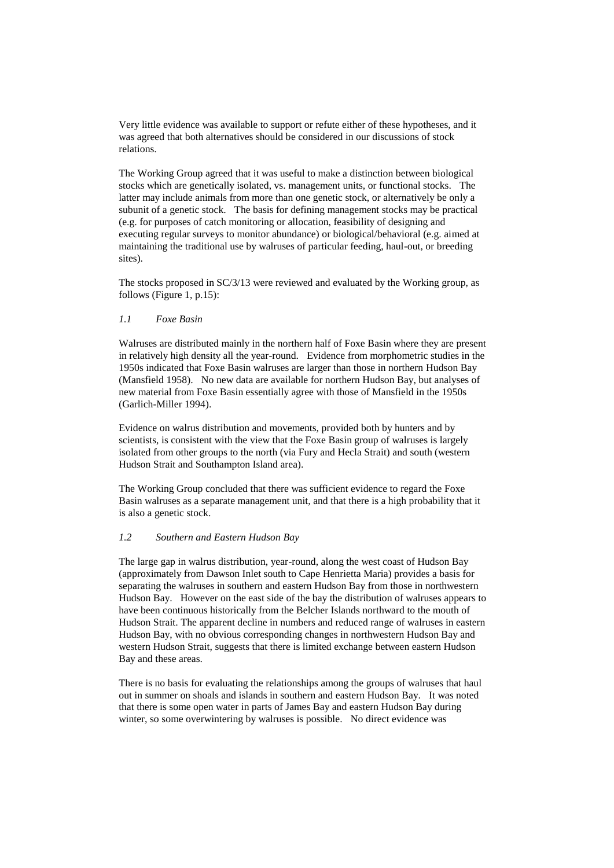Very little evidence was available to support or refute either of these hypotheses, and it was agreed that both alternatives should be considered in our discussions of stock relations.

The Working Group agreed that it was useful to make a distinction between biological stocks which are genetically isolated, vs. management units, or functional stocks. The latter may include animals from more than one genetic stock, or alternatively be only a subunit of a genetic stock. The basis for defining management stocks may be practical (e.g. for purposes of catch monitoring or allocation, feasibility of designing and executing regular surveys to monitor abundance) or biological/behavioral (e.g. aimed at maintaining the traditional use by walruses of particular feeding, haul-out, or breeding sites).

The stocks proposed in SC/3/13 were reviewed and evaluated by the Working group, as follows (Figure 1, p.15):

#### *1.1 Foxe Basin*

Walruses are distributed mainly in the northern half of Foxe Basin where they are present in relatively high density all the year-round. Evidence from morphometric studies in the 1950s indicated that Foxe Basin walruses are larger than those in northern Hudson Bay (Mansfield 1958). No new data are available for northern Hudson Bay, but analyses of new material from Foxe Basin essentially agree with those of Mansfield in the 1950s (Garlich-Miller 1994).

Evidence on walrus distribution and movements, provided both by hunters and by scientists, is consistent with the view that the Foxe Basin group of walruses is largely isolated from other groups to the north (via Fury and Hecla Strait) and south (western Hudson Strait and Southampton Island area).

The Working Group concluded that there was sufficient evidence to regard the Foxe Basin walruses as a separate management unit, and that there is a high probability that it is also a genetic stock.

#### *1.2 Southern and Eastern Hudson Bay*

The large gap in walrus distribution, year-round, along the west coast of Hudson Bay (approximately from Dawson Inlet south to Cape Henrietta Maria) provides a basis for separating the walruses in southern and eastern Hudson Bay from those in northwestern Hudson Bay. However on the east side of the bay the distribution of walruses appears to have been continuous historically from the Belcher Islands northward to the mouth of Hudson Strait. The apparent decline in numbers and reduced range of walruses in eastern Hudson Bay, with no obvious corresponding changes in northwestern Hudson Bay and western Hudson Strait, suggests that there is limited exchange between eastern Hudson Bay and these areas.

There is no basis for evaluating the relationships among the groups of walruses that haul out in summer on shoals and islands in southern and eastern Hudson Bay. It was noted that there is some open water in parts of James Bay and eastern Hudson Bay during winter, so some overwintering by walruses is possible. No direct evidence was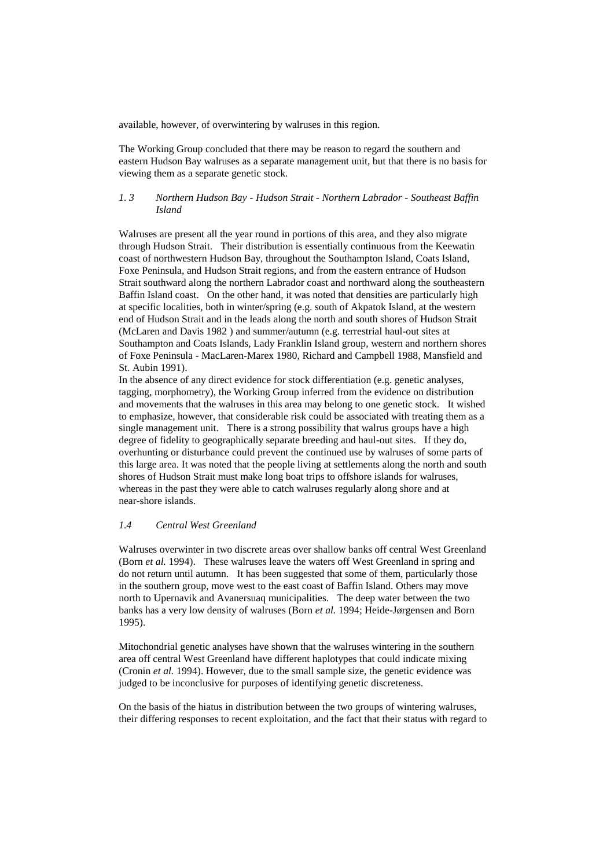available, however, of overwintering by walruses in this region.

The Working Group concluded that there may be reason to regard the southern and eastern Hudson Bay walruses as a separate management unit, but that there is no basis for viewing them as a separate genetic stock.

#### *1. 3 Northern Hudson Bay - Hudson Strait - Northern Labrador - Southeast Baffin Island*

Walruses are present all the year round in portions of this area, and they also migrate through Hudson Strait. Their distribution is essentially continuous from the Keewatin coast of northwestern Hudson Bay, throughout the Southampton Island, Coats Island, Foxe Peninsula, and Hudson Strait regions, and from the eastern entrance of Hudson Strait southward along the northern Labrador coast and northward along the southeastern Baffin Island coast. On the other hand, it was noted that densities are particularly high at specific localities, both in winter/spring (e.g. south of Akpatok Island, at the western end of Hudson Strait and in the leads along the north and south shores of Hudson Strait (McLaren and Davis 1982 ) and summer/autumn (e.g. terrestrial haul-out sites at Southampton and Coats Islands, Lady Franklin Island group, western and northern shores of Foxe Peninsula - MacLaren-Marex 1980, Richard and Campbell 1988, Mansfield and St. Aubin 1991).

In the absence of any direct evidence for stock differentiation (e.g. genetic analyses, tagging, morphometry), the Working Group inferred from the evidence on distribution and movements that the walruses in this area may belong to one genetic stock. It wished to emphasize, however, that considerable risk could be associated with treating them as a single management unit. There is a strong possibility that walrus groups have a high degree of fidelity to geographically separate breeding and haul-out sites. If they do, overhunting or disturbance could prevent the continued use by walruses of some parts of this large area. It was noted that the people living at settlements along the north and south shores of Hudson Strait must make long boat trips to offshore islands for walruses, whereas in the past they were able to catch walruses regularly along shore and at near-shore islands.

#### *1.4 Central West Greenland*

Walruses overwinter in two discrete areas over shallow banks off central West Greenland (Born *et al.* 1994). These walruses leave the waters off West Greenland in spring and do not return until autumn. It has been suggested that some of them, particularly those in the southern group, move west to the east coast of Baffin Island. Others may move north to Upernavik and Avanersuaq municipalities. The deep water between the two banks has a very low density of walruses (Born *et al.* 1994; Heide-Jørgensen and Born 1995).

Mitochondrial genetic analyses have shown that the walruses wintering in the southern area off central West Greenland have different haplotypes that could indicate mixing (Cronin *et al.* 1994). However, due to the small sample size, the genetic evidence was judged to be inconclusive for purposes of identifying genetic discreteness.

On the basis of the hiatus in distribution between the two groups of wintering walruses, their differing responses to recent exploitation, and the fact that their status with regard to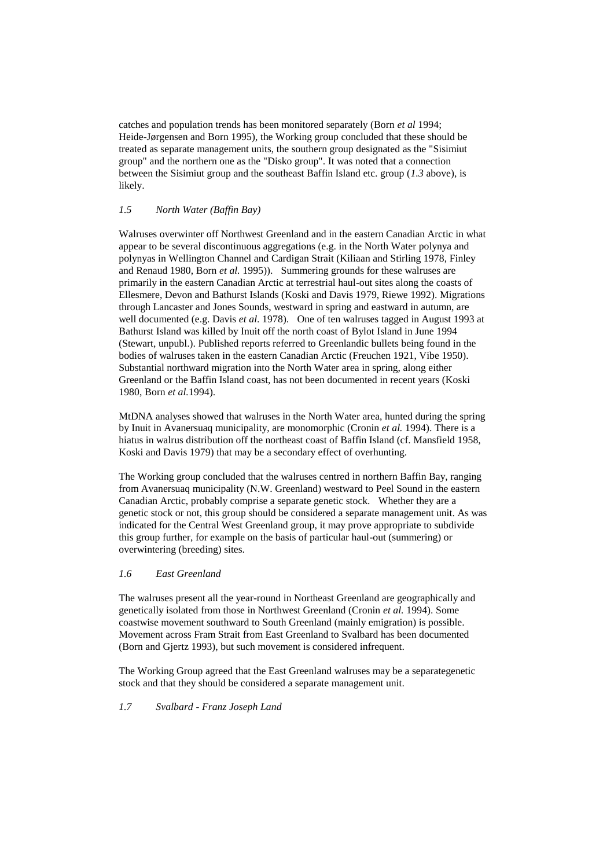catches and population trends has been monitored separately (Born *et al* 1994; Heide-Jørgensen and Born 1995), the Working group concluded that these should be treated as separate management units, the southern group designated as the "Sisimiut group" and the northern one as the "Disko group". It was noted that a connection between the Sisimiut group and the southeast Baffin Island etc. group (*1.3* above), is likely.

#### *1.5 North Water (Baffin Bay)*

Walruses overwinter off Northwest Greenland and in the eastern Canadian Arctic in what appear to be several discontinuous aggregations (e.g. in the North Water polynya and polynyas in Wellington Channel and Cardigan Strait (Kiliaan and Stirling 1978, Finley and Renaud 1980, Born *et al.* 1995)). Summering grounds for these walruses are primarily in the eastern Canadian Arctic at terrestrial haul-out sites along the coasts of Ellesmere, Devon and Bathurst Islands (Koski and Davis 1979, Riewe 1992). Migrations through Lancaster and Jones Sounds, westward in spring and eastward in autumn, are well documented (e.g. Davis *et al*. 1978). One of ten walruses tagged in August 1993 at Bathurst Island was killed by Inuit off the north coast of Bylot Island in June 1994 (Stewart, unpubl.). Published reports referred to Greenlandic bullets being found in the bodies of walruses taken in the eastern Canadian Arctic (Freuchen 1921, Vibe 1950). Substantial northward migration into the North Water area in spring, along either Greenland or the Baffin Island coast, has not been documented in recent years (Koski 1980, Born *et al.*1994).

MtDNA analyses showed that walruses in the North Water area, hunted during the spring by Inuit in Avanersuaq municipality, are monomorphic (Cronin *et al.* 1994). There is a hiatus in walrus distribution off the northeast coast of Baffin Island (cf. Mansfield 1958, Koski and Davis 1979) that may be a secondary effect of overhunting.

The Working group concluded that the walruses centred in northern Baffin Bay, ranging from Avanersuaq municipality (N.W. Greenland) westward to Peel Sound in the eastern Canadian Arctic, probably comprise a separate genetic stock. Whether they are a genetic stock or not, this group should be considered a separate management unit. As was indicated for the Central West Greenland group, it may prove appropriate to subdivide this group further, for example on the basis of particular haul-out (summering) or overwintering (breeding) sites.

#### *1.6 East Greenland*

The walruses present all the year-round in Northeast Greenland are geographically and genetically isolated from those in Northwest Greenland (Cronin *et al.* 1994). Some coastwise movement southward to South Greenland (mainly emigration) is possible. Movement across Fram Strait from East Greenland to Svalbard has been documented (Born and Gjertz 1993), but such movement is considered infrequent.

The Working Group agreed that the East Greenland walruses may be a separategenetic stock and that they should be considered a separate management unit.

*1.7 Svalbard - Franz Joseph Land*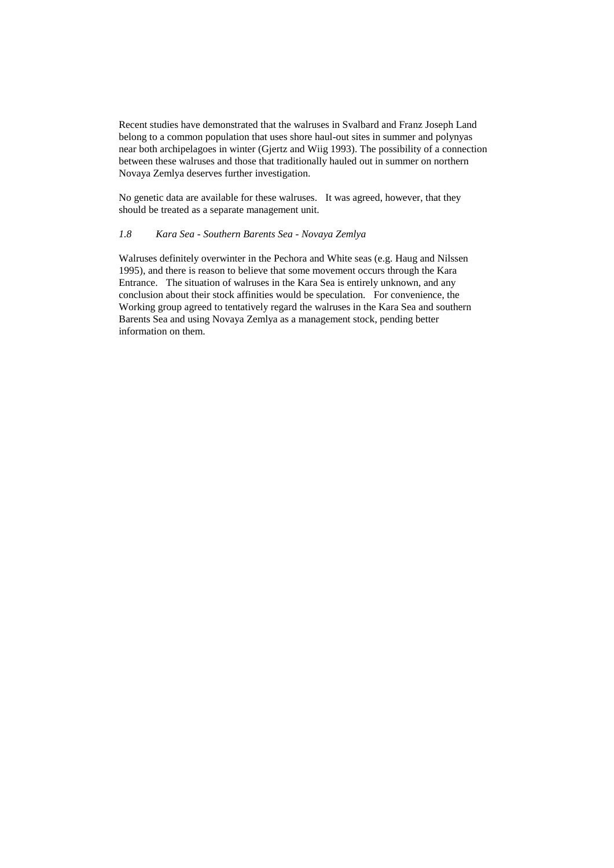Recent studies have demonstrated that the walruses in Svalbard and Franz Joseph Land belong to a common population that uses shore haul-out sites in summer and polynyas near both archipelagoes in winter (Gjertz and Wiig 1993). The possibility of a connection between these walruses and those that traditionally hauled out in summer on northern Novaya Zemlya deserves further investigation.

No genetic data are available for these walruses. It was agreed, however, that they should be treated as a separate management unit.

#### *1.8 Kara Sea - Southern Barents Sea - Novaya Zemlya*

Walruses definitely overwinter in the Pechora and White seas (e.g. Haug and Nilssen 1995), and there is reason to believe that some movement occurs through the Kara Entrance. The situation of walruses in the Kara Sea is entirely unknown, and any conclusion about their stock affinities would be speculation. For convenience, the Working group agreed to tentatively regard the walruses in the Kara Sea and southern Barents Sea and using Novaya Zemlya as a management stock, pending better information on them.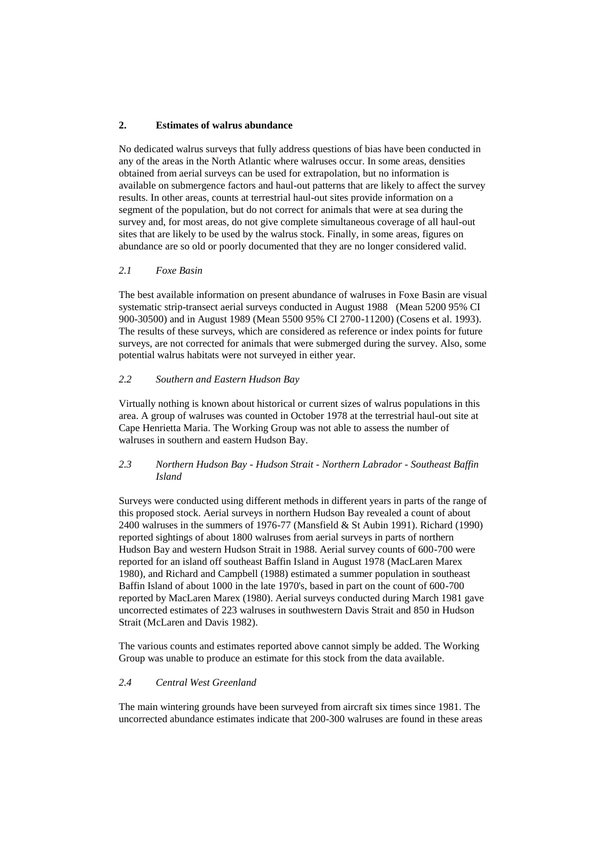#### **2. Estimates of walrus abundance**

No dedicated walrus surveys that fully address questions of bias have been conducted in any of the areas in the North Atlantic where walruses occur. In some areas, densities obtained from aerial surveys can be used for extrapolation, but no information is available on submergence factors and haul-out patterns that are likely to affect the survey results. In other areas, counts at terrestrial haul-out sites provide information on a segment of the population, but do not correct for animals that were at sea during the survey and, for most areas, do not give complete simultaneous coverage of all haul-out sites that are likely to be used by the walrus stock. Finally, in some areas, figures on abundance are so old or poorly documented that they are no longer considered valid.

#### *2.1 Foxe Basin*

The best available information on present abundance of walruses in Foxe Basin are visual systematic strip-transect aerial surveys conducted in August 1988 (Mean 5200 95% CI 900-30500) and in August 1989 (Mean 5500 95% CI 2700-11200) (Cosens et al. 1993). The results of these surveys, which are considered as reference or index points for future surveys, are not corrected for animals that were submerged during the survey. Also, some potential walrus habitats were not surveyed in either year.

#### *2.2 Southern and Eastern Hudson Bay*

Virtually nothing is known about historical or current sizes of walrus populations in this area. A group of walruses was counted in October 1978 at the terrestrial haul-out site at Cape Henrietta Maria. The Working Group was not able to assess the number of walruses in southern and eastern Hudson Bay.

#### *2.3 Northern Hudson Bay - Hudson Strait - Northern Labrador - Southeast Baffin Island*

Surveys were conducted using different methods in different years in parts of the range of this proposed stock. Aerial surveys in northern Hudson Bay revealed a count of about 2400 walruses in the summers of 1976-77 (Mansfield & St Aubin 1991). Richard (1990) reported sightings of about 1800 walruses from aerial surveys in parts of northern Hudson Bay and western Hudson Strait in 1988. Aerial survey counts of 600-700 were reported for an island off southeast Baffin Island in August 1978 (MacLaren Marex 1980), and Richard and Campbell (1988) estimated a summer population in southeast Baffin Island of about 1000 in the late 1970's, based in part on the count of 600-700 reported by MacLaren Marex (1980). Aerial surveys conducted during March 1981 gave uncorrected estimates of 223 walruses in southwestern Davis Strait and 850 in Hudson Strait (McLaren and Davis 1982).

The various counts and estimates reported above cannot simply be added. The Working Group was unable to produce an estimate for this stock from the data available.

#### *2.4 Central West Greenland*

The main wintering grounds have been surveyed from aircraft six times since 1981. The uncorrected abundance estimates indicate that 200-300 walruses are found in these areas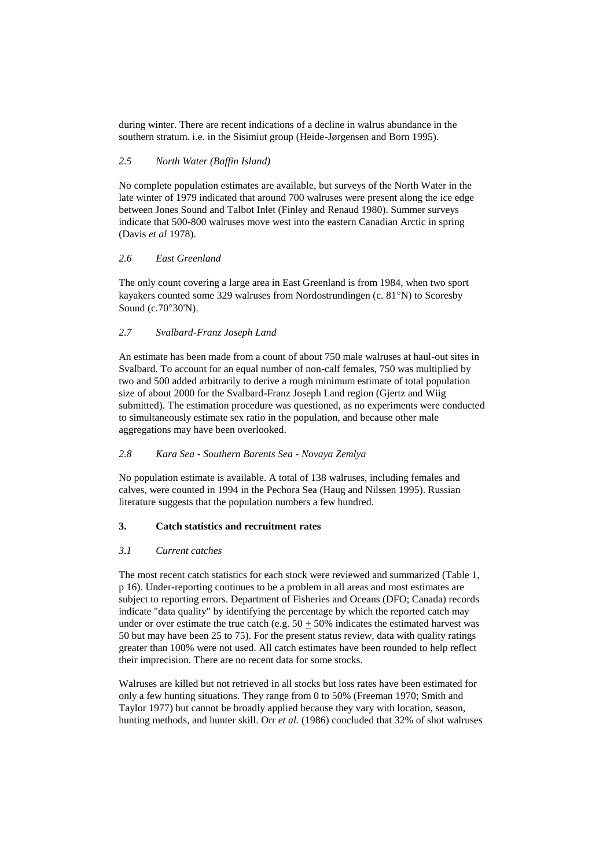during winter. There are recent indications of a decline in walrus abundance in the southern stratum. i.e. in the Sisimiut group (Heide-Jørgensen and Born 1995).

#### *2.5 North Water (Baffin Island)*

No complete population estimates are available, but surveys of the North Water in the late winter of 1979 indicated that around 700 walruses were present along the ice edge between Jones Sound and Talbot Inlet (Finley and Renaud 1980). Summer surveys indicate that 500-800 walruses move west into the eastern Canadian Arctic in spring (Davis *et al* 1978).

#### *2.6 East Greenland*

The only count covering a large area in East Greenland is from 1984, when two sport kayakers counted some 329 walruses from Nordostrundingen (c.  $81^{\circ}$ N) to Scoresby Sound (c.70°30'N).

#### *2.7 Svalbard-Franz Joseph Land*

An estimate has been made from a count of about 750 male walruses at haul-out sites in Svalbard. To account for an equal number of non-calf females, 750 was multiplied by two and 500 added arbitrarily to derive a rough minimum estimate of total population size of about 2000 for the Svalbard-Franz Joseph Land region (Gjertz and Wiig submitted). The estimation procedure was questioned, as no experiments were conducted to simultaneously estimate sex ratio in the population, and because other male aggregations may have been overlooked.

#### *2.8 Kara Sea - Southern Barents Sea - Novaya Zemlya*

No population estimate is available. A total of 138 walruses, including females and calves, were counted in 1994 in the Pechora Sea (Haug and Nilssen 1995). Russian literature suggests that the population numbers a few hundred.

#### **3. Catch statistics and recruitment rates**

#### *3.1 Current catches*

The most recent catch statistics for each stock were reviewed and summarized (Table 1, p 16). Under-reporting continues to be a problem in all areas and most estimates are subject to reporting errors. Department of Fisheries and Oceans (DFO; Canada) records indicate "data quality" by identifying the percentage by which the reported catch may under or over estimate the true catch (e.g.  $50 \pm 50\%$  indicates the estimated harvest was 50 but may have been 25 to 75). For the present status review, data with quality ratings greater than 100% were not used. All catch estimates have been rounded to help reflect their imprecision. There are no recent data for some stocks.

Walruses are killed but not retrieved in all stocks but loss rates have been estimated for only a few hunting situations. They range from 0 to 50% (Freeman 1970; Smith and Taylor 1977) but cannot be broadly applied because they vary with location, season, hunting methods, and hunter skill. Orr *et al.* (1986) concluded that 32% of shot walruses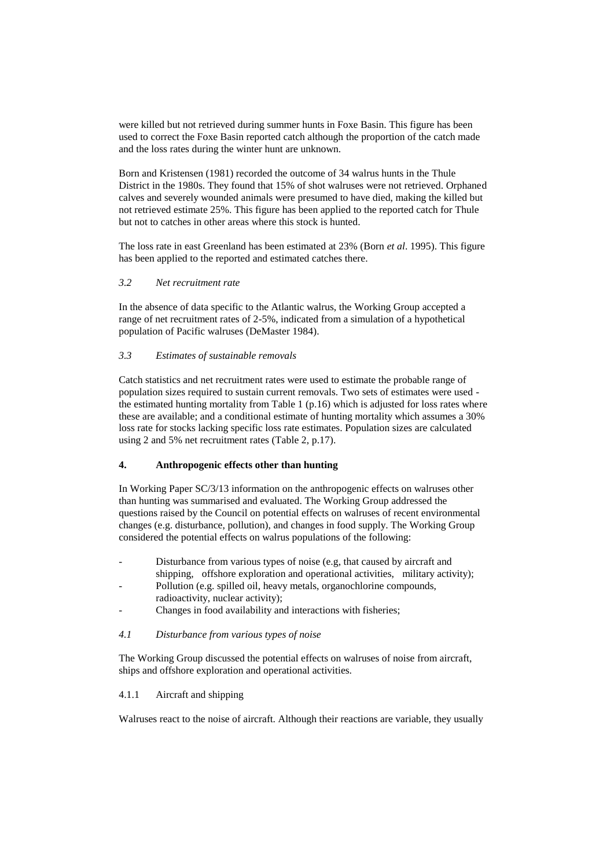were killed but not retrieved during summer hunts in Foxe Basin. This figure has been used to correct the Foxe Basin reported catch although the proportion of the catch made and the loss rates during the winter hunt are unknown.

Born and Kristensen (1981) recorded the outcome of 34 walrus hunts in the Thule District in the 1980s. They found that 15% of shot walruses were not retrieved. Orphaned calves and severely wounded animals were presumed to have died, making the killed but not retrieved estimate 25%. This figure has been applied to the reported catch for Thule but not to catches in other areas where this stock is hunted.

The loss rate in east Greenland has been estimated at 23% (Born *et al*. 1995). This figure has been applied to the reported and estimated catches there.

#### *3.2 Net recruitment rate*

In the absence of data specific to the Atlantic walrus, the Working Group accepted a range of net recruitment rates of 2-5%, indicated from a simulation of a hypothetical population of Pacific walruses (DeMaster 1984).

#### *3.3 Estimates of sustainable removals*

Catch statistics and net recruitment rates were used to estimate the probable range of population sizes required to sustain current removals. Two sets of estimates were used the estimated hunting mortality from Table 1 (p.16) which is adjusted for loss rates where these are available; and a conditional estimate of hunting mortality which assumes a 30% loss rate for stocks lacking specific loss rate estimates. Population sizes are calculated using 2 and 5% net recruitment rates (Table 2, p.17).

#### **4. Anthropogenic effects other than hunting**

In Working Paper SC/3/13 information on the anthropogenic effects on walruses other than hunting was summarised and evaluated. The Working Group addressed the questions raised by the Council on potential effects on walruses of recent environmental changes (e.g. disturbance, pollution), and changes in food supply. The Working Group considered the potential effects on walrus populations of the following:

- Disturbance from various types of noise (e.g, that caused by aircraft and shipping, offshore exploration and operational activities, military activity);
- Pollution (e.g. spilled oil, heavy metals, organochlorine compounds, radioactivity, nuclear activity);
- Changes in food availability and interactions with fisheries;
- *4.1 Disturbance from various types of noise*

The Working Group discussed the potential effects on walruses of noise from aircraft, ships and offshore exploration and operational activities.

#### 4.1.1 Aircraft and shipping

Walruses react to the noise of aircraft. Although their reactions are variable, they usually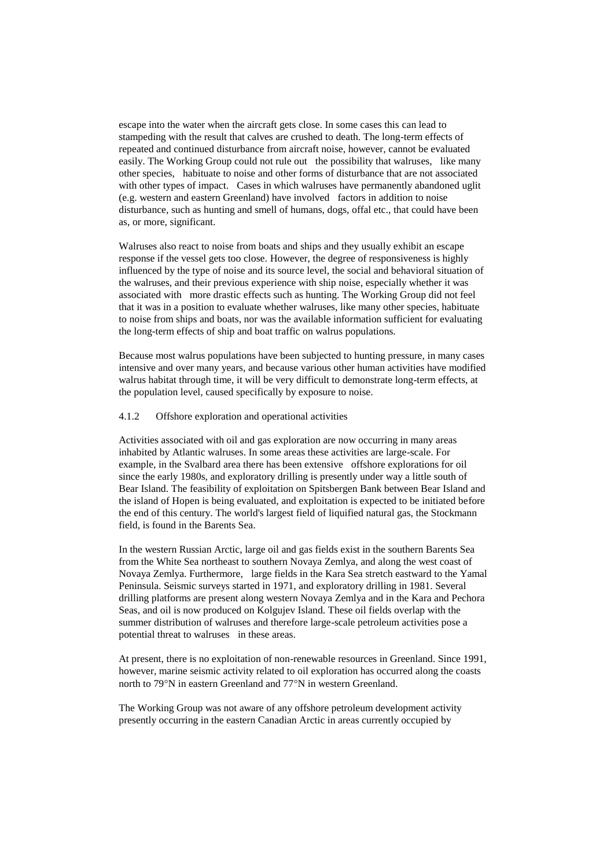escape into the water when the aircraft gets close. In some cases this can lead to stampeding with the result that calves are crushed to death. The long-term effects of repeated and continued disturbance from aircraft noise, however, cannot be evaluated easily. The Working Group could not rule out the possibility that walruses, like many other species, habituate to noise and other forms of disturbance that are not associated with other types of impact. Cases in which walruses have permanently abandoned uglit (e.g. western and eastern Greenland) have involved factors in addition to noise disturbance, such as hunting and smell of humans, dogs, offal etc., that could have been as, or more, significant.

Walruses also react to noise from boats and ships and they usually exhibit an escape response if the vessel gets too close. However, the degree of responsiveness is highly influenced by the type of noise and its source level, the social and behavioral situation of the walruses, and their previous experience with ship noise, especially whether it was associated with more drastic effects such as hunting. The Working Group did not feel that it was in a position to evaluate whether walruses, like many other species, habituate to noise from ships and boats, nor was the available information sufficient for evaluating the long-term effects of ship and boat traffic on walrus populations.

Because most walrus populations have been subjected to hunting pressure, in many cases intensive and over many years, and because various other human activities have modified walrus habitat through time, it will be very difficult to demonstrate long-term effects, at the population level, caused specifically by exposure to noise.

#### 4.1.2 Offshore exploration and operational activities

Activities associated with oil and gas exploration are now occurring in many areas inhabited by Atlantic walruses. In some areas these activities are large-scale. For example, in the Svalbard area there has been extensive offshore explorations for oil since the early 1980s, and exploratory drilling is presently under way a little south of Bear Island. The feasibility of exploitation on Spitsbergen Bank between Bear Island and the island of Hopen is being evaluated, and exploitation is expected to be initiated before the end of this century. The world's largest field of liquified natural gas, the Stockmann field, is found in the Barents Sea.

In the western Russian Arctic, large oil and gas fields exist in the southern Barents Sea from the White Sea northeast to southern Novaya Zemlya, and along the west coast of Novaya Zemlya. Furthermore, large fields in the Kara Sea stretch eastward to the Yamal Peninsula. Seismic surveys started in 1971, and exploratory drilling in 1981. Several drilling platforms are present along western Novaya Zemlya and in the Kara and Pechora Seas, and oil is now produced on Kolgujev Island. These oil fields overlap with the summer distribution of walruses and therefore large-scale petroleum activities pose a potential threat to walruses in these areas.

At present, there is no exploitation of non-renewable resources in Greenland. Since 1991, however, marine seismic activity related to oil exploration has occurred along the coasts north to  $79^{\circ}$ N in eastern Greenland and  $77^{\circ}$ N in western Greenland.

The Working Group was not aware of any offshore petroleum development activity presently occurring in the eastern Canadian Arctic in areas currently occupied by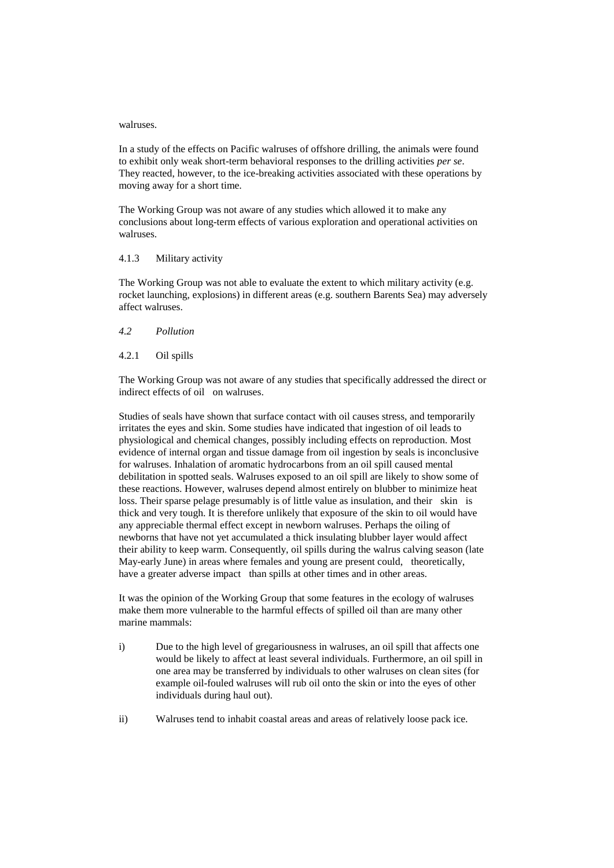#### walruses.

In a study of the effects on Pacific walruses of offshore drilling, the animals were found to exhibit only weak short-term behavioral responses to the drilling activities *per se*. They reacted, however, to the ice-breaking activities associated with these operations by moving away for a short time.

The Working Group was not aware of any studies which allowed it to make any conclusions about long-term effects of various exploration and operational activities on walruses.

#### 4.1.3 Military activity

The Working Group was not able to evaluate the extent to which military activity (e.g. rocket launching, explosions) in different areas (e.g. southern Barents Sea) may adversely affect walruses.

#### *4.2 Pollution*

#### 4.2.1 Oil spills

The Working Group was not aware of any studies that specifically addressed the direct or indirect effects of oil on walruses.

Studies of seals have shown that surface contact with oil causes stress, and temporarily irritates the eyes and skin. Some studies have indicated that ingestion of oil leads to physiological and chemical changes, possibly including effects on reproduction. Most evidence of internal organ and tissue damage from oil ingestion by seals is inconclusive for walruses. Inhalation of aromatic hydrocarbons from an oil spill caused mental debilitation in spotted seals. Walruses exposed to an oil spill are likely to show some of these reactions. However, walruses depend almost entirely on blubber to minimize heat loss. Their sparse pelage presumably is of little value as insulation, and their skin is thick and very tough. It is therefore unlikely that exposure of the skin to oil would have any appreciable thermal effect except in newborn walruses. Perhaps the oiling of newborns that have not yet accumulated a thick insulating blubber layer would affect their ability to keep warm. Consequently, oil spills during the walrus calving season (late May-early June) in areas where females and young are present could, theoretically, have a greater adverse impact than spills at other times and in other areas.

It was the opinion of the Working Group that some features in the ecology of walruses make them more vulnerable to the harmful effects of spilled oil than are many other marine mammals:

- i) Due to the high level of gregariousness in walruses, an oil spill that affects one would be likely to affect at least several individuals. Furthermore, an oil spill in one area may be transferred by individuals to other walruses on clean sites (for example oil-fouled walruses will rub oil onto the skin or into the eyes of other individuals during haul out).
- ii) Walruses tend to inhabit coastal areas and areas of relatively loose pack ice.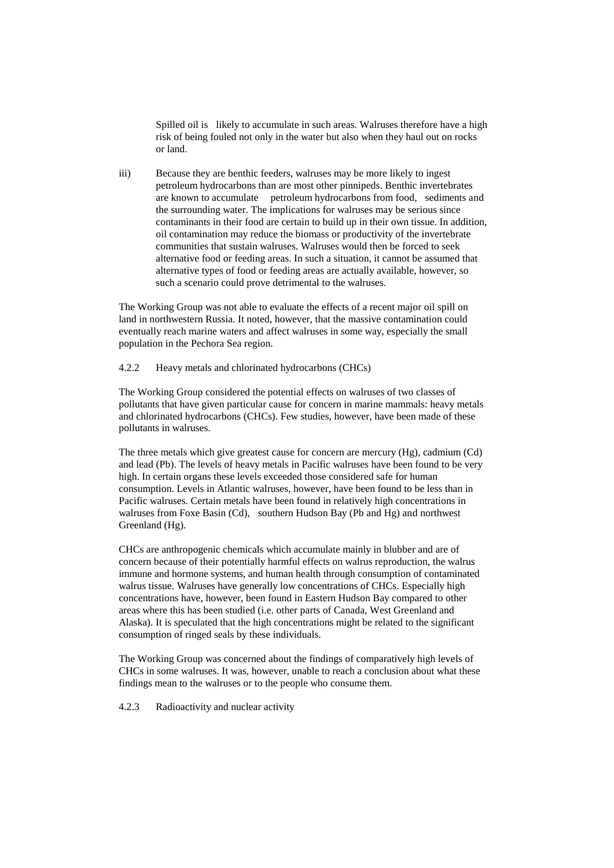Spilled oil is likely to accumulate in such areas. Walruses therefore have a high risk of being fouled not only in the water but also when they haul out on rocks or land.

iii) Because they are benthic feeders, walruses may be more likely to ingest petroleum hydrocarbons than are most other pinnipeds. Benthic invertebrates are known to accumulate petroleum hydrocarbons from food, sediments and the surrounding water. The implications for walruses may be serious since contaminants in their food are certain to build up in their own tissue. In addition, oil contamination may reduce the biomass or productivity of the invertebrate communities that sustain walruses. Walruses would then be forced to seek alternative food or feeding areas. In such a situation, it cannot be assumed that alternative types of food or feeding areas are actually available, however, so such a scenario could prove detrimental to the walruses.

The Working Group was not able to evaluate the effects of a recent major oil spill on land in northwestern Russia. It noted, however, that the massive contamination could eventually reach marine waters and affect walruses in some way, especially the small population in the Pechora Sea region.

#### 4.2.2 Heavy metals and chlorinated hydrocarbons (CHCs)

The Working Group considered the potential effects on walruses of two classes of pollutants that have given particular cause for concern in marine mammals: heavy metals and chlorinated hydrocarbons (CHCs). Few studies, however, have been made of these pollutants in walruses.

The three metals which give greatest cause for concern are mercury (Hg), cadmium (Cd) and lead (Pb). The levels of heavy metals in Pacific walruses have been found to be very high. In certain organs these levels exceeded those considered safe for human consumption. Levels in Atlantic walruses, however, have been found to be less than in Pacific walruses. Certain metals have been found in relatively high concentrations in walruses from Foxe Basin (Cd), southern Hudson Bay (Pb and Hg) and northwest Greenland (Hg).

CHCs are anthropogenic chemicals which accumulate mainly in blubber and are of concern because of their potentially harmful effects on walrus reproduction, the walrus immune and hormone systems, and human health through consumption of contaminated walrus tissue. Walruses have generally low concentrations of CHCs. Especially high concentrations have, however, been found in Eastern Hudson Bay compared to other areas where this has been studied (i.e. other parts of Canada, West Greenland and Alaska). It is speculated that the high concentrations might be related to the significant consumption of ringed seals by these individuals.

The Working Group was concerned about the findings of comparatively high levels of CHCs in some walruses. It was, however, unable to reach a conclusion about what these findings mean to the walruses or to the people who consume them.

4.2.3 Radioactivity and nuclear activity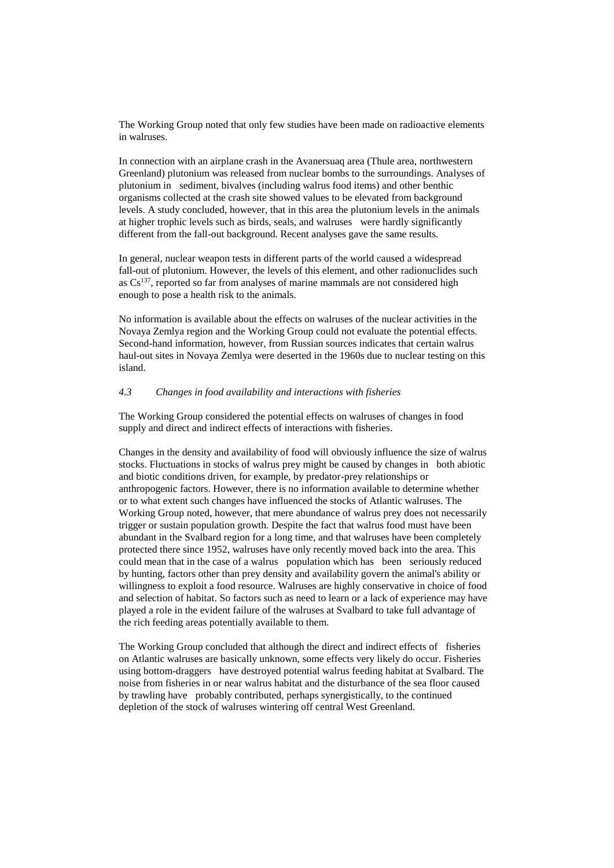The Working Group noted that only few studies have been made on radioactive elements in walruses.

In connection with an airplane crash in the Avanersuaq area (Thule area, northwestern Greenland) plutonium was released from nuclear bombs to the surroundings. Analyses of plutonium in sediment, bivalves (including walrus food items) and other benthic organisms collected at the crash site showed values to be elevated from background levels. A study concluded, however, that in this area the plutonium levels in the animals at higher trophic levels such as birds, seals, and walruses were hardly significantly different from the fall-out background. Recent analyses gave the same results.

In general, nuclear weapon tests in different parts of the world caused a widespread fall-out of plutonium. However, the levels of this element, and other radionuclides such as  $Cs^{137}$ , reported so far from analyses of marine mammals are not considered high enough to pose a health risk to the animals.

No information is available about the effects on walruses of the nuclear activities in the Novaya Zemlya region and the Working Group could not evaluate the potential effects. Second-hand information, however, from Russian sources indicates that certain walrus haul-out sites in Novaya Zemlya were deserted in the 1960s due to nuclear testing on this island.

#### *4.3 Changes in food availability and interactions with fisheries*

The Working Group considered the potential effects on walruses of changes in food supply and direct and indirect effects of interactions with fisheries.

Changes in the density and availability of food will obviously influence the size of walrus stocks. Fluctuations in stocks of walrus prey might be caused by changes in both abiotic and biotic conditions driven, for example, by predator-prey relationships or anthropogenic factors. However, there is no information available to determine whether or to what extent such changes have influenced the stocks of Atlantic walruses. The Working Group noted, however, that mere abundance of walrus prey does not necessarily trigger or sustain population growth. Despite the fact that walrus food must have been abundant in the Svalbard region for a long time, and that walruses have been completely protected there since 1952, walruses have only recently moved back into the area. This could mean that in the case of a walrus population which has been seriously reduced by hunting, factors other than prey density and availability govern the animal's ability or willingness to exploit a food resource. Walruses are highly conservative in choice of food and selection of habitat. So factors such as need to learn or a lack of experience may have played a role in the evident failure of the walruses at Svalbard to take full advantage of the rich feeding areas potentially available to them.

The Working Group concluded that although the direct and indirect effects of fisheries on Atlantic walruses are basically unknown, some effects very likely do occur. Fisheries using bottom-draggers have destroyed potential walrus feeding habitat at Svalbard. The noise from fisheries in or near walrus habitat and the disturbance of the sea floor caused by trawling have probably contributed, perhaps synergistically, to the continued depletion of the stock of walruses wintering off central West Greenland.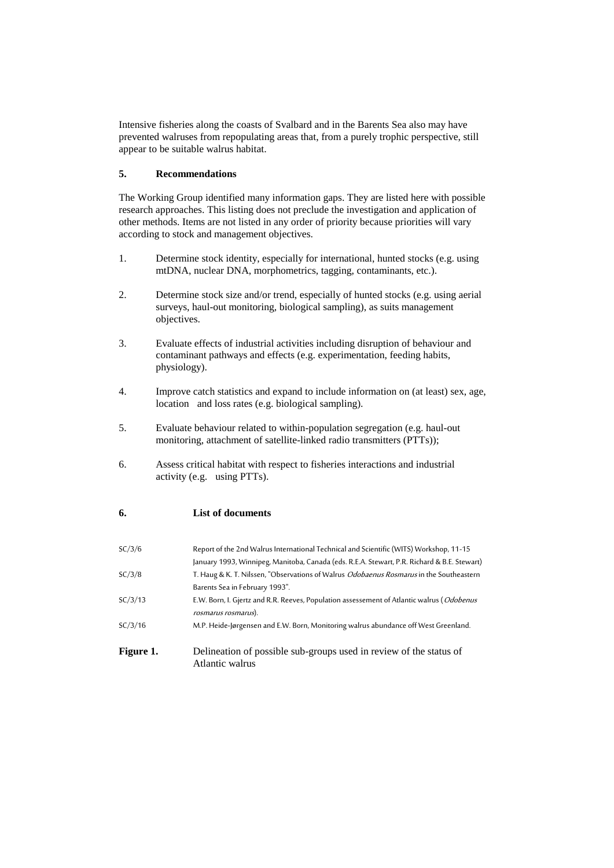Intensive fisheries along the coasts of Svalbard and in the Barents Sea also may have prevented walruses from repopulating areas that, from a purely trophic perspective, still appear to be suitable walrus habitat.

#### **5. Recommendations**

The Working Group identified many information gaps. They are listed here with possible research approaches. This listing does not preclude the investigation and application of other methods. Items are not listed in any order of priority because priorities will vary according to stock and management objectives.

- 1. Determine stock identity, especially for international, hunted stocks (e.g. using mtDNA, nuclear DNA, morphometrics, tagging, contaminants, etc.).
- 2. Determine stock size and/or trend, especially of hunted stocks (e.g. using aerial surveys, haul-out monitoring, biological sampling), as suits management objectives.
- 3. Evaluate effects of industrial activities including disruption of behaviour and contaminant pathways and effects (e.g. experimentation, feeding habits, physiology).
- 4. Improve catch statistics and expand to include information on (at least) sex, age, location and loss rates (e.g. biological sampling).
- 5. Evaluate behaviour related to within-population segregation (e.g. haul-out monitoring, attachment of satellite-linked radio transmitters (PTTs));
- 6. Assess critical habitat with respect to fisheries interactions and industrial activity (e.g. using PTTs).

#### **6. List of documents**

| SC/3/6    | Report of the 2nd Walrus International Technical and Scientific (WITS) Workshop, 11-15                                    |
|-----------|---------------------------------------------------------------------------------------------------------------------------|
| SC/3/8    | January 1993, Winnipeg, Manitoba, Canada (eds. R.E.A. Stewart, P.R. Richard & B.E. Stewart)                               |
|           | T. Haug & K. T. Nilssen, "Observations of Walrus Odobaenus Rosmarus in the Southeastern<br>Barents Sea in February 1993". |
| SC/3/13   | E.W. Born, I. Gjertz and R.R. Reeves, Population assessement of Atlantic walrus (Odobenus<br>rosmarus rosmarus).          |
| SC/3/16   | M.P. Heide-Jørgensen and E.W. Born, Monitoring walrus abundance off West Greenland.                                       |
| Figure 1. | Delineation of possible sub-groups used in review of the status of<br>Atlantic walrus                                     |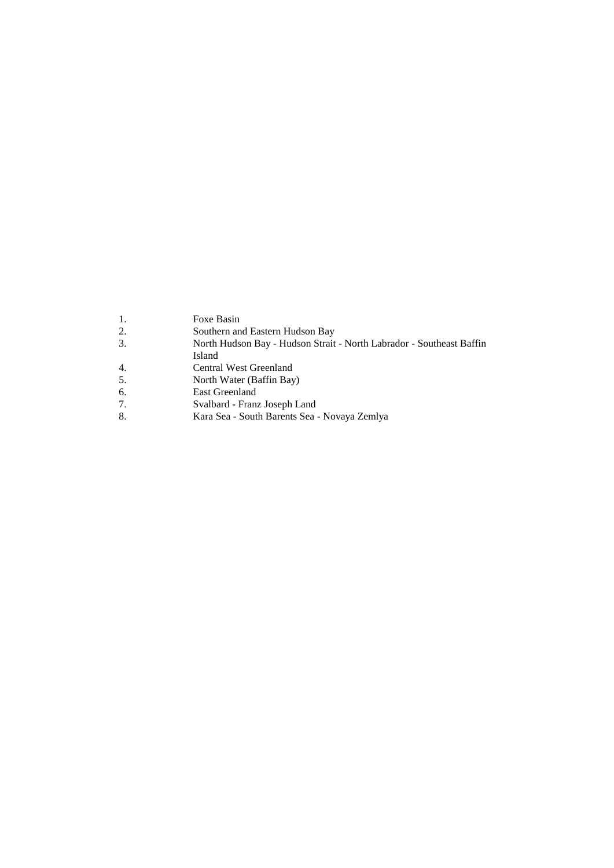- 1. Foxe Basin<br>2. Southern an
- 2. Southern and Eastern Hudson Bay
- 3. North Hudson Bay Hudson Strait North Labrador Southeast Baffin
- Island
- 4. Central West Greenland
- 5. North Water (Baffin Bay)<br>6. East Greenland
- 6. East Greenland<br>7. Svalbard Franz
- 7. Svalbard Franz Joseph Land<br>8. Kara Sea South Barents Sea
- 8. Kara Sea South Barents Sea Novaya Zemlya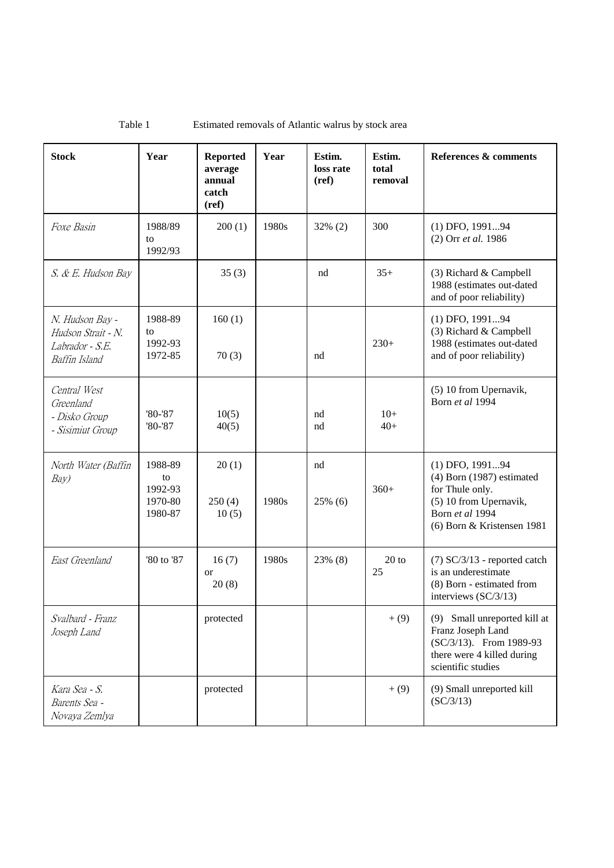| <b>Stock</b>                                                                                                     | Year                                           | <b>Reported</b><br>average<br>annual<br>catch<br>(ref) | Year  | Estim.<br>loss rate<br>(ref) | Estim.<br>total<br>removal | References & comments                                                                                                                          |
|------------------------------------------------------------------------------------------------------------------|------------------------------------------------|--------------------------------------------------------|-------|------------------------------|----------------------------|------------------------------------------------------------------------------------------------------------------------------------------------|
| 1988/89<br>Foxe Basin<br>to<br>1992/93                                                                           |                                                | 200(1)                                                 | 1980s | $32\%$ (2)                   | 300                        | (1) DFO, 199194<br>(2) Orr et al. 1986                                                                                                         |
| S. & E. Hudson Bay                                                                                               |                                                | 35(3)                                                  |       | nd                           | $35+$                      | (3) Richard & Campbell<br>1988 (estimates out-dated<br>and of poor reliability)                                                                |
| 1988-89<br>N. Hudson Bay -<br>Hudson Strait - N.<br>to<br>1992-93<br>Labrador - S.E.<br>1972-85<br>Baffin Island |                                                | 160(1)<br>70(3)                                        |       | nd                           | $230+$                     | (1) DFO, 199194<br>(3) Richard & Campbell<br>1988 (estimates out-dated<br>and of poor reliability)                                             |
| Central West<br>Greenland<br>- Disko Group<br>- Sisimiut Group                                                   | '80-'87<br>$'80-'87$                           | 10(5)<br>40(5)                                         |       | nd<br>nd                     | $10+$<br>$40+$             | (5) 10 from Upernavik,<br>Born et al 1994                                                                                                      |
| North Water (Baffin<br>Bay)                                                                                      | 1988-89<br>to<br>1992-93<br>1970-80<br>1980-87 | 20(1)<br>250(4)<br>10(5)                               | 1980s | nd<br>25% (6)                | $360+$                     | (1) DFO, 199194<br>$(4)$ Born $(1987)$ estimated<br>for Thule only.<br>(5) 10 from Upernavik,<br>Born et al 1994<br>(6) Born & Kristensen 1981 |
| '80 to '87<br>East Greenland                                                                                     |                                                | 16(7)<br><sub>or</sub><br>20(8)                        | 1980s | 23% (8)                      | $20$ to<br>25              | $(7)$ SC/3/13 - reported catch<br>is an underestimate<br>(8) Born - estimated from<br>interviews (SC/3/13)                                     |
| Svalbard - Franz<br>Joseph Land                                                                                  |                                                | protected                                              |       |                              | $+ (9)$                    | (9) Small unreported kill at<br>Franz Joseph Land<br>(SC/3/13). From 1989-93<br>there were 4 killed during<br>scientific studies               |
| Kara Sea - S.<br>Barents Sea -<br>Novaya Zemlya                                                                  |                                                | protected                                              |       |                              | $+(9)$                     | (9) Small unreported kill<br>SC/3/13                                                                                                           |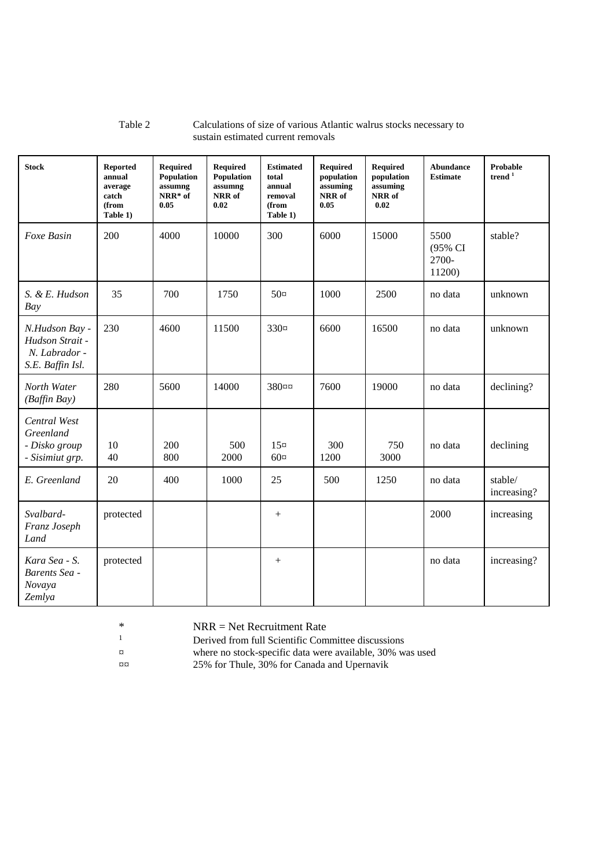#### Table 2 Calculations of size of various Atlantic walrus stocks necessary to sustain estimated current removals

| <b>Stock</b>                                                           | Reported<br>annual<br>average<br>catch<br>(from<br>Table 1) | <b>Required</b><br><b>Population</b><br>assumng<br>NRR* of<br>0.05 | <b>Required</b><br>Population<br>assumng<br>NRR of<br>0.02 | <b>Estimated</b><br>total<br>annual<br>removal<br>(from<br>Table 1) | <b>Required</b><br>population<br>assuming<br>NRR of<br>0.05 | Required<br>population<br>assuming<br>NRR of<br>0.02 | <b>Abundance</b><br><b>Estimate</b> | <b>Probable</b><br>trend $1$ |
|------------------------------------------------------------------------|-------------------------------------------------------------|--------------------------------------------------------------------|------------------------------------------------------------|---------------------------------------------------------------------|-------------------------------------------------------------|------------------------------------------------------|-------------------------------------|------------------------------|
| Foxe Basin                                                             | 200                                                         | 4000                                                               | 10000                                                      | 300                                                                 | 6000                                                        | 15000                                                | 5500<br>(95% CI<br>2700-<br>11200)  | stable?                      |
| S. & E. Hudson<br>Bay                                                  | 35                                                          | 700                                                                | 1750                                                       | $50\alpha$                                                          | 1000                                                        | 2500                                                 | no data                             | unknown                      |
| N.Hudson Bay -<br>Hudson Strait -<br>N. Labrador -<br>S.E. Baffin Isl. | 230                                                         | 4600                                                               | 11500                                                      | $330\alpha$                                                         | 6600                                                        | 16500                                                | no data                             | unknown                      |
| North Water<br>(Baffin Bay)                                            | 280                                                         | 5600                                                               | 14000                                                      | 380¤¤                                                               | 7600                                                        | 19000                                                | no data                             | declining?                   |
| Central West<br>Greenland<br>- Disko group<br>- Sisimiut grp.          | 10<br>40                                                    | 200<br>800                                                         | 500<br>2000                                                | $15\alpha$<br>$60\alpha$                                            | 300<br>1200                                                 | 750<br>3000                                          | no data                             | declining                    |
| E. Greenland                                                           | 20                                                          | 400                                                                | 1000                                                       | 25                                                                  | 500                                                         | 1250                                                 | no data                             | stable/<br>increasing?       |
| Svalbard-<br>Franz Joseph<br>Land                                      | protected                                                   |                                                                    |                                                            | $^{+}$                                                              |                                                             |                                                      | 2000                                | increasing                   |
| Kara Sea - S.<br>Barents Sea -<br>Novaya<br>Zemlya                     | protected                                                   |                                                                    |                                                            | $+$                                                                 |                                                             |                                                      | no data                             | increasing?                  |

\* NRR = Net Recruitment Rate<br> $P_{\text{Perived from full Scientific Com}}$ 

<sup>1</sup>Derived from full Scientific Committee discussions

¤ where no stock-specific data were available, 30% was used ¤¤ 25% for Thule, 30% for Canada and Upernavik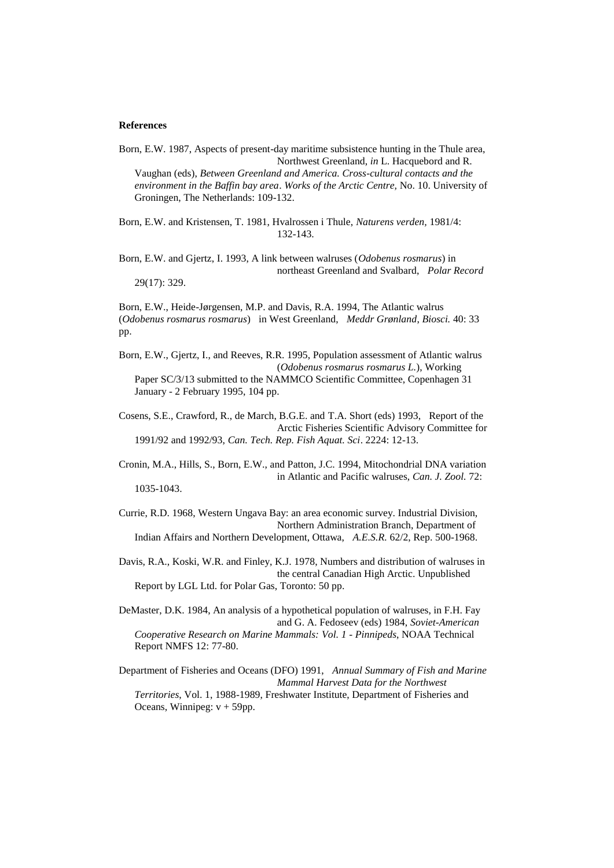#### **References**

Born, E.W. 1987, Aspects of present-day maritime subsistence hunting in the Thule area, Northwest Greenland, *in* L. Hacquebord and R. Vaughan (eds), *Between Greenland and America. Cross-cultural contacts and the environment in the Baffin bay area*. *Works of the Arctic Centre,* No. 10. University of Groningen, The Netherlands: 109-132.

Born, E.W. and Kristensen, T. 1981, Hvalrossen i Thule, *Naturens verden,* 1981/4: 132-143.

Born, E.W. and Gjertz, I. 1993, A link between walruses (*Odobenus rosmarus*) in northeast Greenland and Svalbard, *Polar Record* 29(17): 329.

Born, E.W., Heide-Jørgensen, M.P. and Davis, R.A. 1994, The Atlantic walrus (*Odobenus rosmarus rosmarus*) in West Greenland, *Meddr Grønland*, *Biosci.* 40: 33 pp.

Born, E.W., Gjertz, I., and Reeves, R.R. 1995, Population assessment of Atlantic walrus (*Odobenus rosmarus rosmarus L.*), Working Paper SC/3/13 submitted to the NAMMCO Scientific Committee, Copenhagen 31 January - 2 February 1995, 104 pp.

Cosens, S.E., Crawford, R., de March, B.G.E. and T.A. Short (eds) 1993, Report of the Arctic Fisheries Scientific Advisory Committee for 1991/92 and 1992/93, *Can. Tech. Rep. Fish Aquat. Sci*. 2224: 12-13.

Cronin, M.A., Hills, S., Born, E.W., and Patton, J.C. 1994, Mitochondrial DNA variation in Atlantic and Pacific walruses, *Can. J. Zool.* 72: 1035-1043.

Currie, R.D. 1968, Western Ungava Bay: an area economic survey. Industrial Division, Northern Administration Branch, Department of Indian Affairs and Northern Development, Ottawa, *A.E.S.R.* 62/2, Rep. 500-1968.

Davis, R.A., Koski, W.R. and Finley, K.J. 1978, Numbers and distribution of walruses in the central Canadian High Arctic. Unpublished Report by LGL Ltd. for Polar Gas, Toronto: 50 pp.

DeMaster, D.K. 1984, An analysis of a hypothetical population of walruses, in F.H. Fay and G. A. Fedoseev (eds) 1984, *Soviet-American Cooperative Research on Marine Mammals: Vol. 1 - Pinnipeds*, NOAA Technical Report NMFS 12: 77-80.

Department of Fisheries and Oceans (DFO) 1991, *Annual Summary of Fish and Marine Mammal Harvest Data for the Northwest Territories*, Vol. 1, 1988-1989, Freshwater Institute, Department of Fisheries and Oceans, Winnipeg:  $v + 59$ pp.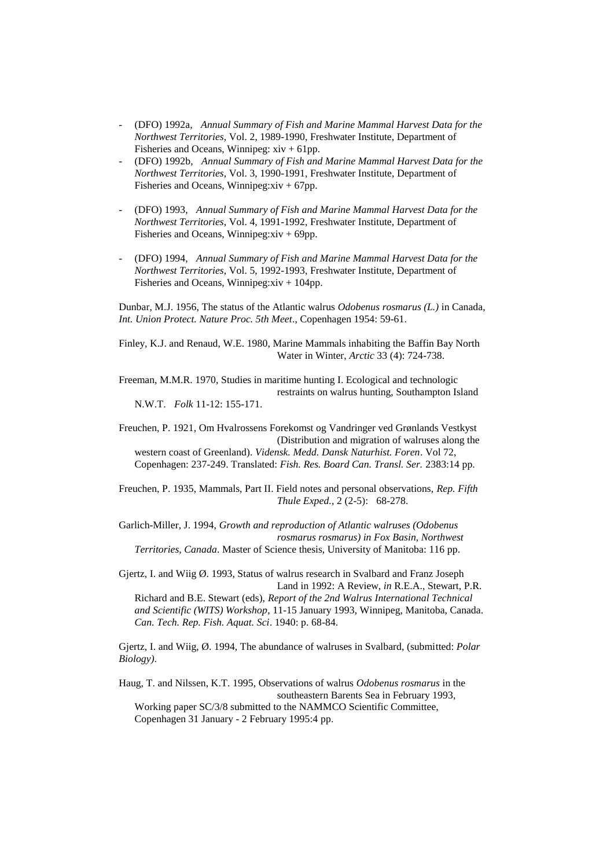- (DFO) 1992a, *Annual Summary of Fish and Marine Mammal Harvest Data for the Northwest Territories*, Vol. 2, 1989-1990, Freshwater Institute, Department of Fisheries and Oceans, Winnipeg:  $xiv + 61pp$ .
- (DFO) 1992b, *Annual Summary of Fish and Marine Mammal Harvest Data for the Northwest Territories*, Vol. 3, 1990-1991, Freshwater Institute, Department of Fisheries and Oceans, Winnipeg: $xiv + 67pp$ .
- (DFO) 1993, *Annual Summary of Fish and Marine Mammal Harvest Data for the Northwest Territories*, Vol. 4, 1991-1992, Freshwater Institute, Department of Fisheries and Oceans, Winnipeg:xiv + 69pp.
- (DFO) 1994, *Annual Summary of Fish and Marine Mammal Harvest Data for the Northwest Territories*, Vol. 5, 1992-1993, Freshwater Institute, Department of Fisheries and Oceans, Winnipeg:xiv + 104pp.

Dunbar, M.J. 1956, The status of the Atlantic walrus *Odobenus rosmarus (L.)* in Canada, *Int. Union Protect. Nature Proc. 5th Meet*., Copenhagen 1954: 59-61.

Finley, K.J. and Renaud, W.E. 1980, Marine Mammals inhabiting the Baffin Bay North Water in Winter, *Arctic* 33 (4): 724-738.

Freeman, M.M.R. 1970, Studies in maritime hunting I. Ecological and technologic restraints on walrus hunting, Southampton Island N.W.T. *Folk* 11-12: 155-171.

Freuchen, P. 1921, Om Hvalrossens Forekomst og Vandringer ved Grønlands Vestkyst (Distribution and migration of walruses along the western coast of Greenland). *Vidensk. Medd. Dansk Naturhist. Foren*. Vol 72, Copenhagen: 237-249. Translated: *Fish. Res. Board Can. Transl. Ser.* 2383:14 pp.

Freuchen, P. 1935, Mammals, Part II. Field notes and personal observations, *Rep. Fifth Thule Exped.*, 2 (2-5): 68-278.

Garlich-Miller, J. 1994, *Growth and reproduction of Atlantic walruses (Odobenus rosmarus rosmarus) in Fox Basin, Northwest Territories, Canada*. Master of Science thesis, University of Manitoba: 116 pp.

Gjertz, I. and Wiig Ø. 1993, Status of walrus research in Svalbard and Franz Joseph Land in 1992: A Review, *in* R.E.A., Stewart, P.R. Richard and B.E. Stewart (eds), *Report of the 2nd Walrus International Technical and Scientific (WITS) Workshop*, 11-15 January 1993, Winnipeg, Manitoba, Canada.

Gjertz, I. and Wiig, Ø. 1994, The abundance of walruses in Svalbard, (submitted: *Polar Biology)*.

*Can. Tech. Rep. Fish. Aquat. Sci*. 1940: p. 68-84.

Haug, T. and Nilssen, K.T. 1995, Observations of walrus *Odobenus rosmarus* in the southeastern Barents Sea in February 1993, Working paper SC/3/8 submitted to the NAMMCO Scientific Committee, Copenhagen 31 January - 2 February 1995:4 pp.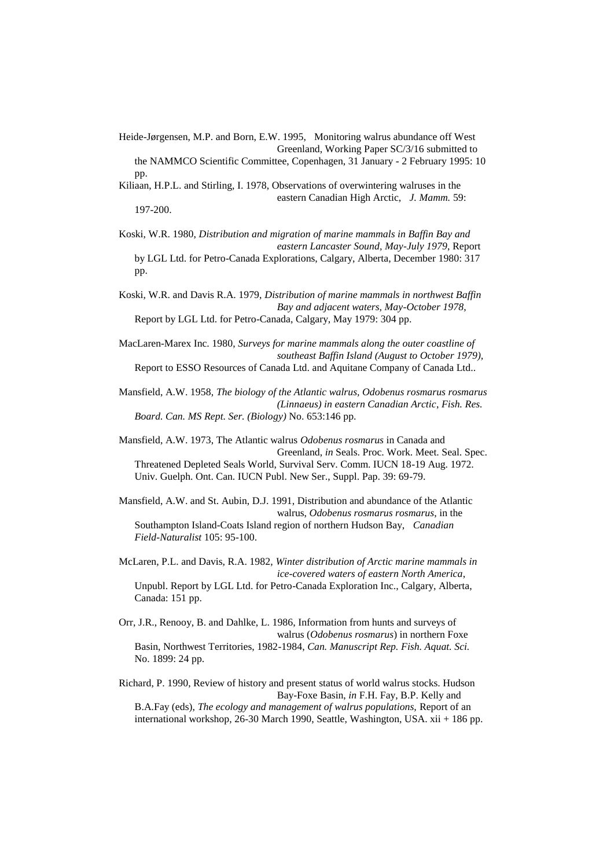Heide-Jørgensen, M.P. and Born, E.W. 1995, Monitoring walrus abundance off West Greenland, Working Paper SC/3/16 submitted to

the NAMMCO Scientific Committee, Copenhagen, 31 January - 2 February 1995: 10 pp.

Kiliaan, H.P.L. and Stirling, I. 1978, Observations of overwintering walruses in the eastern Canadian High Arctic, *J. Mamm.* 59: 197-200.

Koski, W.R. 1980, *Distribution and migration of marine mammals in Baffin Bay and eastern Lancaster Sound, May-July 1979*, Report by LGL Ltd. for Petro-Canada Explorations, Calgary, Alberta, December 1980: 317 pp.

Koski, W.R. and Davis R.A. 1979, *Distribution of marine mammals in northwest Baffin Bay and adjacent waters, May-October 1978*, Report by LGL Ltd. for Petro-Canada, Calgary, May 1979: 304 pp.

MacLaren-Marex Inc. 1980, *Surveys for marine mammals along the outer coastline of southeast Baffin Island (August to October 1979),* Report to ESSO Resources of Canada Ltd. and Aquitane Company of Canada Ltd..

Mansfield, A.W. 1958, *The biology of the Atlantic walrus, Odobenus rosmarus rosmarus (Linnaeus) in eastern Canadian Arctic*, *Fish. Res. Board. Can. MS Rept. Ser. (Biology)* No. 653:146 pp.

Mansfield, A.W. 1973, The Atlantic walrus *Odobenus rosmarus* in Canada and Greenland, *in* Seals. Proc. Work. Meet. Seal. Spec. Threatened Depleted Seals World, Survival Serv. Comm. IUCN 18-19 Aug. 1972. Univ. Guelph. Ont. Can. IUCN Publ. New Ser., Suppl. Pap. 39: 69-79.

Mansfield, A.W. and St. Aubin, D.J. 1991, Distribution and abundance of the Atlantic walrus, *Odobenus rosmarus rosmarus*, in the Southampton Island-Coats Island region of northern Hudson Bay, *Canadian Field-Naturalist* 105: 95-100.

McLaren, P.L. and Davis, R.A. 1982, *Winter distribution of Arctic marine mammals in ice-covered waters of eastern North America*, Unpubl. Report by LGL Ltd. for Petro-Canada Exploration Inc., Calgary, Alberta, Canada: 151 pp.

Orr, J.R., Renooy, B. and Dahlke, L. 1986, Information from hunts and surveys of walrus (*Odobenus rosmarus*) in northern Foxe Basin, Northwest Territories, 1982-1984, *Can. Manuscript Rep. Fish. Aquat. Sci.* No. 1899: 24 pp.

Richard, P. 1990, Review of history and present status of world walrus stocks. Hudson Bay-Foxe Basin, *in* F.H. Fay, B.P. Kelly and B.A.Fay (eds), *The ecology and management of walrus populations,* Report of an international workshop, 26-30 March 1990, Seattle, Washington, USA. xii + 186 pp.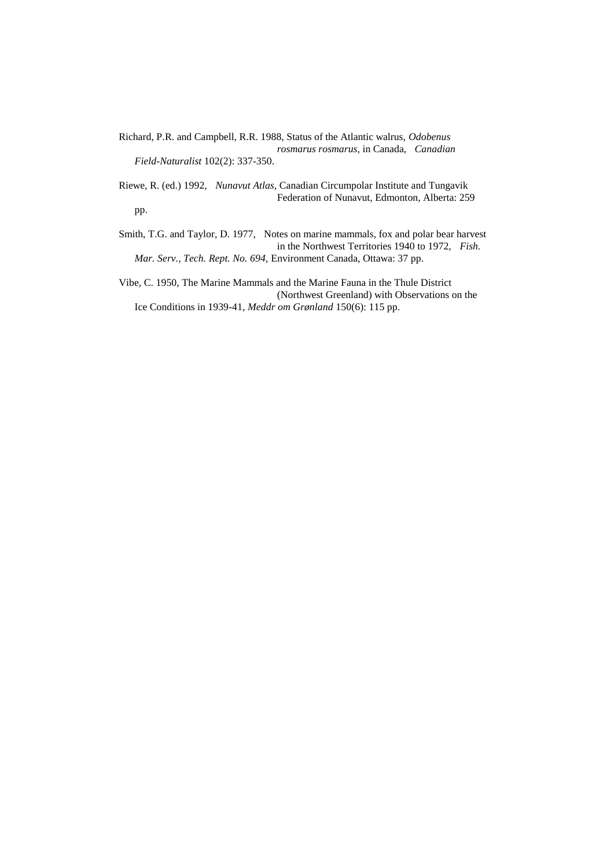- Richard, P.R. and Campbell, R.R. 1988, Status of the Atlantic walrus, *Odobenus rosmarus rosmarus*, in Canada, *Canadian Field-Naturalist* 102(2): 337-350.
- Riewe, R. (ed.) 1992, *Nunavut Atlas*, Canadian Circumpolar Institute and Tungavik Federation of Nunavut, Edmonton, Alberta: 259 pp.
- Smith, T.G. and Taylor, D. 1977, Notes on marine mammals, fox and polar bear harvest in the Northwest Territories 1940 to 1972, *Fish. Mar. Serv., Tech. Rept. No. 694,* Environment Canada, Ottawa: 37 pp.

Vibe, C. 1950, The Marine Mammals and the Marine Fauna in the Thule District (Northwest Greenland) with Observations on the Ice Conditions in 1939-41, *Meddr om Grønland* 150(6): 115 pp.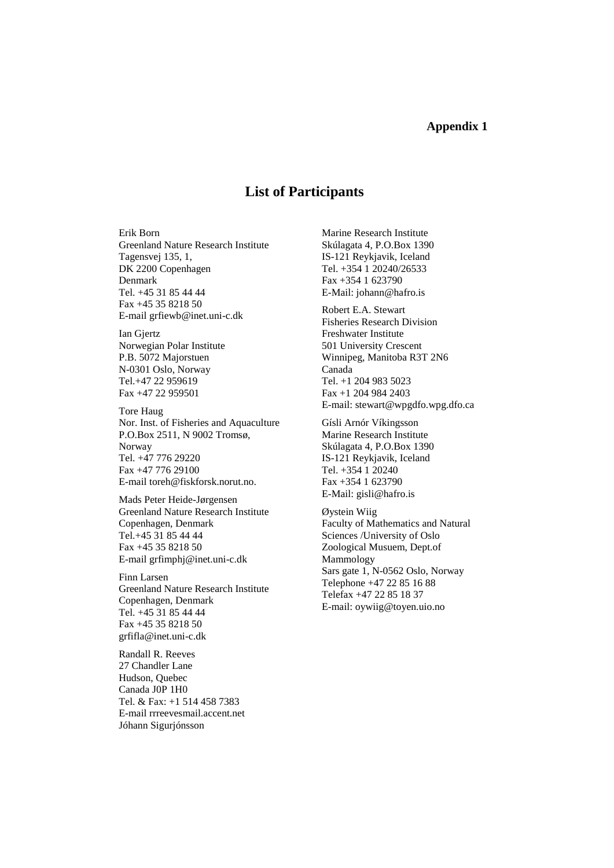#### **Appendix 1**

### **List of Participants**

Erik Born Greenland Nature Research Institute Tagensvej 135, 1, DK 2200 Copenhagen Denmark Tel. +45 31 85 44 44 Fax +45 35 8218 50 E-mail grfiewb@inet.uni-c.dk

Ian Gjertz Norwegian Polar Institute P.B. 5072 Majorstuen N-0301 Oslo, Norway Tel.+47 22 959619 Fax +47 22 959501

Tore Haug Nor. Inst. of Fisheries and Aquaculture P.O.Box 2511, N 9002 Tromsø, Norway Tel. +47 776 29220 Fax +47 776 29100 E-mail toreh@fiskforsk.norut.no.

Mads Peter Heide-Jørgensen Greenland Nature Research Institute Copenhagen, Denmark Tel.+45 31 85 44 44 Fax +45 35 8218 50 E-mail grfimphj@inet.uni-c.dk

Finn Larsen Greenland Nature Research Institute Copenhagen, Denmark Tel. +45 31 85 44 44 Fax +45 35 8218 50 grfifla@inet.uni-c.dk

Randall R. Reeves 27 Chandler Lane Hudson, Quebec Canada J0P 1H0 Tel. & Fax: +1 514 458 7383 E-mail rrreevesmail.accent.net Jóhann Sigurjónsson

Marine Research Institute Skúlagata 4, P.O.Box 1390 IS-121 Reykjavik, Iceland Tel. +354 1 20240/26533 Fax +354 1 623790 E-Mail: johann@hafro.is

Robert E.A. Stewart Fisheries Research Division Freshwater Institute 501 University Crescent Winnipeg, Manitoba R3T 2N6 Canada Tel. +1 204 983 5023 Fax +1 204 984 2403 E-mail: stewart@wpgdfo.wpg.dfo.ca

Gísli Arnór Víkingsson Marine Research Institute Skúlagata 4, P.O.Box 1390 IS-121 Reykjavik, Iceland Tel. +354 1 20240 Fax +354 1 623790 E-Mail: gisli@hafro.is

Øystein Wiig Faculty of Mathematics and Natural Sciences /University of Oslo Zoological Musuem, Dept.of Mammology Sars gate 1, N-0562 Oslo, Norway Telephone +47 22 85 16 88 Telefax +47 22 85 18 37 E-mail: oywiig@toyen.uio.no